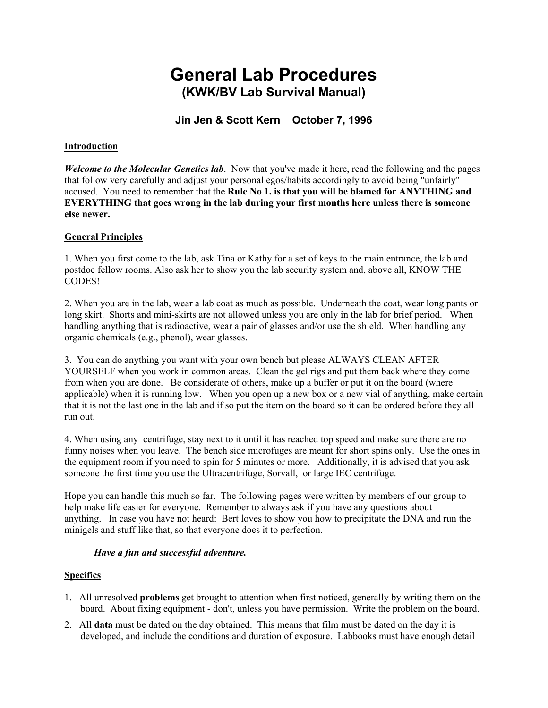# **General Lab Procedures (KWK/BV Lab Survival Manual)**

# **Jin Jen & Scott Kern October 7, 1996**

#### **Introduction**

*Welcome to the Molecular Genetics lab*. Now that you've made it here, read the following and the pages that follow very carefully and adjust your personal egos/habits accordingly to avoid being "unfairly" accused. You need to remember that the **Rule No 1. is that you will be blamed for ANYTHING and EVERYTHING that goes wrong in the lab during your first months here unless there is someone else newer.**

#### **General Principles**

1. When you first come to the lab, ask Tina or Kathy for a set of keys to the main entrance, the lab and postdoc fellow rooms. Also ask her to show you the lab security system and, above all, KNOW THE CODES!

2. When you are in the lab, wear a lab coat as much as possible. Underneath the coat, wear long pants or long skirt. Shorts and mini-skirts are not allowed unless you are only in the lab for brief period. When handling anything that is radioactive, wear a pair of glasses and/or use the shield. When handling any organic chemicals (e.g., phenol), wear glasses.

3. You can do anything you want with your own bench but please ALWAYS CLEAN AFTER YOURSELF when you work in common areas. Clean the gel rigs and put them back where they come from when you are done. Be considerate of others, make up a buffer or put it on the board (where applicable) when it is running low. When you open up a new box or a new vial of anything, make certain that it is not the last one in the lab and if so put the item on the board so it can be ordered before they all run out.

4. When using any centrifuge, stay next to it until it has reached top speed and make sure there are no funny noises when you leave. The bench side microfuges are meant for short spins only. Use the ones in the equipment room if you need to spin for 5 minutes or more. Additionally, it is advised that you ask someone the first time you use the Ultracentrifuge, Sorvall, or large IEC centrifuge.

Hope you can handle this much so far. The following pages were written by members of our group to help make life easier for everyone. Remember to always ask if you have any questions about anything. In case you have not heard: Bert loves to show you how to precipitate the DNA and run the minigels and stuff like that, so that everyone does it to perfection.

#### *Have a fun and successful adventure.*

#### **Specifics**

- 1. All unresolved **problems** get brought to attention when first noticed, generally by writing them on the board. About fixing equipment - don't, unless you have permission. Write the problem on the board.
- 2. All **data** must be dated on the day obtained. This means that film must be dated on the day it is developed, and include the conditions and duration of exposure. Labbooks must have enough detail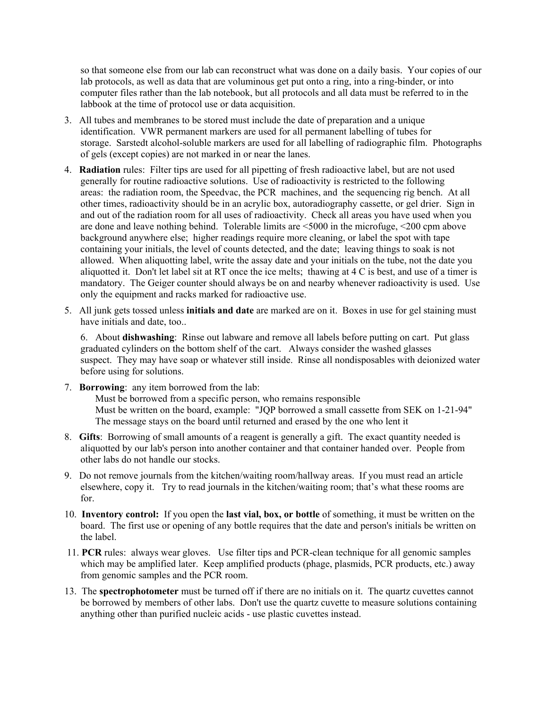so that someone else from our lab can reconstruct what was done on a daily basis. Your copies of our lab protocols, as well as data that are voluminous get put onto a ring, into a ring-binder, or into computer files rather than the lab notebook, but all protocols and all data must be referred to in the labbook at the time of protocol use or data acquisition.

- 3. All tubes and membranes to be stored must include the date of preparation and a unique identification. VWR permanent markers are used for all permanent labelling of tubes for storage. Sarstedt alcohol-soluble markers are used for all labelling of radiographic film. Photographs of gels (except copies) are not marked in or near the lanes.
- 4. **Radiation** rules: Filter tips are used for all pipetting of fresh radioactive label, but are not used generally for routine radioactive solutions. Use of radioactivity is restricted to the following areas: the radiation room, the Speedvac, the PCR machines, and the sequencing rig bench. At all other times, radioactivity should be in an acrylic box, autoradiography cassette, or gel drier. Sign in and out of the radiation room for all uses of radioactivity. Check all areas you have used when you are done and leave nothing behind. Tolerable limits are <5000 in the microfuge, <200 cpm above background anywhere else; higher readings require more cleaning, or label the spot with tape containing your initials, the level of counts detected, and the date; leaving things to soak is not allowed. When aliquotting label, write the assay date and your initials on the tube, not the date you aliquotted it. Don't let label sit at RT once the ice melts; thawing at 4 C is best, and use of a timer is mandatory. The Geiger counter should always be on and nearby whenever radioactivity is used. Use only the equipment and racks marked for radioactive use.
- 5. All junk gets tossed unless **initials and date** are marked are on it. Boxes in use for gel staining must have initials and date, too..

6. About **dishwashing**: Rinse out labware and remove all labels before putting on cart. Put glass graduated cylinders on the bottom shelf of the cart. Always consider the washed glasses suspect. They may have soap or whatever still inside. Rinse all nondisposables with deionized water before using for solutions.

- 7. **Borrowing**: any item borrowed from the lab: Must be borrowed from a specific person, who remains responsible Must be written on the board, example: "JQP borrowed a small cassette from SEK on 1-21-94" The message stays on the board until returned and erased by the one who lent it
- 8. **Gifts**: Borrowing of small amounts of a reagent is generally a gift. The exact quantity needed is aliquotted by our lab's person into another container and that container handed over. People from other labs do not handle our stocks.
- 9. Do not remove journals from the kitchen/waiting room/hallway areas. If you must read an article elsewhere, copy it. Try to read journals in the kitchen/waiting room; that's what these rooms are for.
- 10. **Inventory control:** If you open the **last vial, box, or bottle** of something, it must be written on the board. The first use or opening of any bottle requires that the date and person's initials be written on the label.
- 11. **PCR** rules: always wear gloves. Use filter tips and PCR-clean technique for all genomic samples which may be amplified later. Keep amplified products (phage, plasmids, PCR products, etc.) away from genomic samples and the PCR room.
- 13. The **spectrophotometer** must be turned off if there are no initials on it. The quartz cuvettes cannot be borrowed by members of other labs. Don't use the quartz cuvette to measure solutions containing anything other than purified nucleic acids - use plastic cuvettes instead.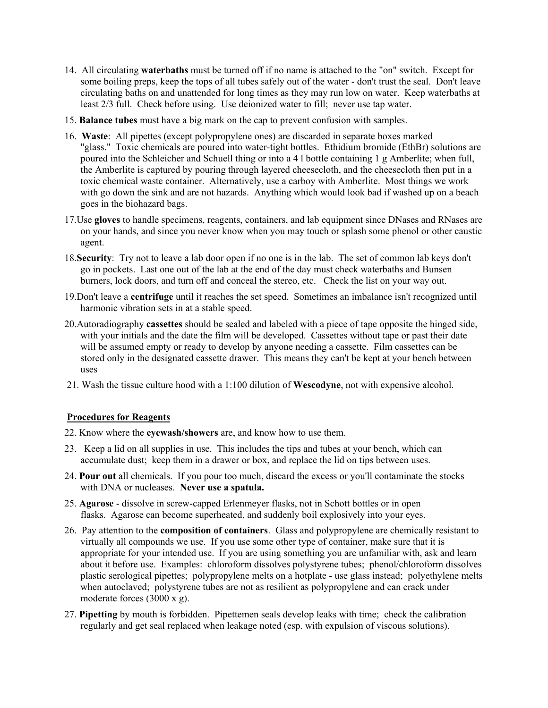- 14. All circulating **waterbaths** must be turned off if no name is attached to the "on" switch. Except for some boiling preps, keep the tops of all tubes safely out of the water - don't trust the seal. Don't leave circulating baths on and unattended for long times as they may run low on water. Keep waterbaths at least 2/3 full. Check before using. Use deionized water to fill; never use tap water.
- 15. **Balance tubes** must have a big mark on the cap to prevent confusion with samples.
- 16. **Waste**: All pipettes (except polypropylene ones) are discarded in separate boxes marked "glass." Toxic chemicals are poured into water-tight bottles. Ethidium bromide (EthBr) solutions are poured into the Schleicher and Schuell thing or into a 4 l bottle containing 1 g Amberlite; when full, the Amberlite is captured by pouring through layered cheesecloth, and the cheesecloth then put in a toxic chemical waste container. Alternatively, use a carboy with Amberlite. Most things we work with go down the sink and are not hazards. Anything which would look bad if washed up on a beach goes in the biohazard bags.
- 17.Use **gloves** to handle specimens, reagents, containers, and lab equipment since DNases and RNases are on your hands, and since you never know when you may touch or splash some phenol or other caustic agent.
- 18.**Security**: Try not to leave a lab door open if no one is in the lab. The set of common lab keys don't go in pockets. Last one out of the lab at the end of the day must check waterbaths and Bunsen burners, lock doors, and turn off and conceal the stereo, etc. Check the list on your way out.
- 19.Don't leave a **centrifuge** until it reaches the set speed. Sometimes an imbalance isn't recognized until harmonic vibration sets in at a stable speed.
- 20.Autoradiography **cassettes** should be sealed and labeled with a piece of tape opposite the hinged side, with your initials and the date the film will be developed. Cassettes without tape or past their date will be assumed empty or ready to develop by anyone needing a cassette. Film cassettes can be stored only in the designated cassette drawer. This means they can't be kept at your bench between uses
- 21. Wash the tissue culture hood with a 1:100 dilution of **Wescodyne**, not with expensive alcohol.

#### **Procedures for Reagents**

- 22. Know where the **eyewash/showers** are, and know how to use them.
- 23. Keep a lid on all supplies in use. This includes the tips and tubes at your bench, which can accumulate dust; keep them in a drawer or box, and replace the lid on tips between uses.
- 24. **Pour out** all chemicals. If you pour too much, discard the excess or you'll contaminate the stocks with DNA or nucleases. **Never use a spatula.**
- 25. **Agarose** dissolve in screw-capped Erlenmeyer flasks, not in Schott bottles or in open flasks. Agarose can become superheated, and suddenly boil explosively into your eyes.
- 26. Pay attention to the **composition of containers**. Glass and polypropylene are chemically resistant to virtually all compounds we use. If you use some other type of container, make sure that it is appropriate for your intended use. If you are using something you are unfamiliar with, ask and learn about it before use. Examples: chloroform dissolves polystyrene tubes; phenol/chloroform dissolves plastic serological pipettes; polypropylene melts on a hotplate - use glass instead; polyethylene melts when autoclaved; polystyrene tubes are not as resilient as polypropylene and can crack under moderate forces (3000 x g).
- 27. **Pipetting** by mouth is forbidden. Pipettemen seals develop leaks with time; check the calibration regularly and get seal replaced when leakage noted (esp. with expulsion of viscous solutions).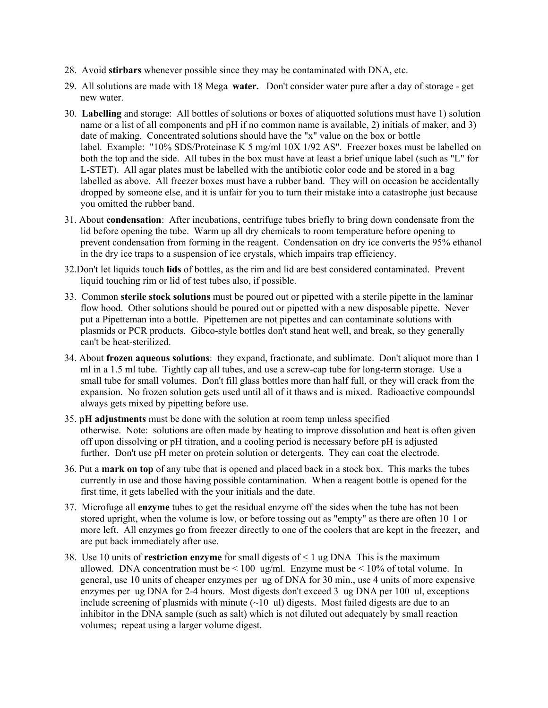- 28. Avoid **stirbars** whenever possible since they may be contaminated with DNA, etc.
- 29. All solutions are made with 18 Mega **water.** Don't consider water pure after a day of storage get new water.
- 30. **Labelling** and storage: All bottles of solutions or boxes of aliquotted solutions must have 1) solution name or a list of all components and pH if no common name is available, 2) initials of maker, and 3) date of making. Concentrated solutions should have the "x" value on the box or bottle label. Example: "10% SDS/Proteinase K 5 mg/ml 10X 1/92 AS". Freezer boxes must be labelled on both the top and the side. All tubes in the box must have at least a brief unique label (such as "L" for L-STET). All agar plates must be labelled with the antibiotic color code and be stored in a bag labelled as above. All freezer boxes must have a rubber band. They will on occasion be accidentally dropped by someone else, and it is unfair for you to turn their mistake into a catastrophe just because you omitted the rubber band.
- 31. About **condensation**: After incubations, centrifuge tubes briefly to bring down condensate from the lid before opening the tube. Warm up all dry chemicals to room temperature before opening to prevent condensation from forming in the reagent. Condensation on dry ice converts the 95% ethanol in the dry ice traps to a suspension of ice crystals, which impairs trap efficiency.
- 32.Don't let liquids touch **lids** of bottles, as the rim and lid are best considered contaminated. Prevent liquid touching rim or lid of test tubes also, if possible.
- 33. Common **sterile stock solutions** must be poured out or pipetted with a sterile pipette in the laminar flow hood. Other solutions should be poured out or pipetted with a new disposable pipette. Never put a Pipetteman into a bottle. Pipettemen are not pipettes and can contaminate solutions with plasmids or PCR products. Gibco-style bottles don't stand heat well, and break, so they generally can't be heat-sterilized.
- 34. About **frozen aqueous solutions**: they expand, fractionate, and sublimate. Don't aliquot more than 1 ml in a 1.5 ml tube. Tightly cap all tubes, and use a screw-cap tube for long-term storage. Use a small tube for small volumes. Don't fill glass bottles more than half full, or they will crack from the expansion. No frozen solution gets used until all of it thaws and is mixed. Radioactive compoundsl always gets mixed by pipetting before use.
- 35. **pH adjustments** must be done with the solution at room temp unless specified otherwise. Note: solutions are often made by heating to improve dissolution and heat is often given off upon dissolving or pH titration, and a cooling period is necessary before pH is adjusted further. Don't use pH meter on protein solution or detergents. They can coat the electrode.
- 36. Put a **mark on top** of any tube that is opened and placed back in a stock box. This marks the tubes currently in use and those having possible contamination. When a reagent bottle is opened for the first time, it gets labelled with the your initials and the date.
- 37. Microfuge all **enzyme** tubes to get the residual enzyme off the sides when the tube has not been stored upright, when the volume is low, or before tossing out as "empty" as there are often 10 l or more left. All enzymes go from freezer directly to one of the coolers that are kept in the freezer, and are put back immediately after use.
- 38. Use 10 units of **restriction enzyme** for small digests of  $\leq 1$  ug DNA This is the maximum allowed. DNA concentration must be  $\leq 100 \text{ ug/ml}$ . Enzyme must be  $\leq 10\%$  of total volume. In general, use 10 units of cheaper enzymes per ug of DNA for 30 min., use 4 units of more expensive enzymes per ug DNA for 2-4 hours. Most digests don't exceed 3 ug DNA per 100 ul, exceptions include screening of plasmids with minute  $(\sim 10 \text{ ul})$  digests. Most failed digests are due to an inhibitor in the DNA sample (such as salt) which is not diluted out adequately by small reaction volumes; repeat using a larger volume digest.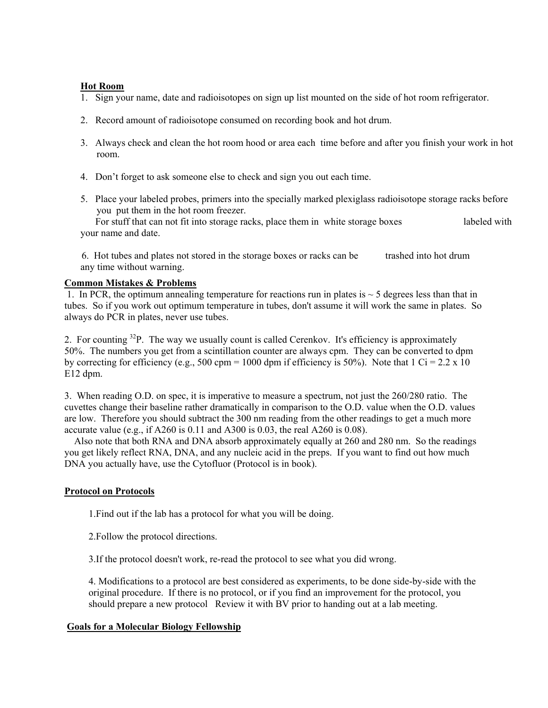#### **Hot Room**

- 1. Sign your name, date and radioisotopes on sign up list mounted on the side of hot room refrigerator.
- 2. Record amount of radioisotope consumed on recording book and hot drum.
- 3. Always check and clean the hot room hood or area each time before and after you finish your work in hot room.
- 4. Don't forget to ask someone else to check and sign you out each time.
- 5. Place your labeled probes, primers into the specially marked plexiglass radioisotope storage racks before you put them in the hot room freezer.

 For stuff that can not fit into storage racks, place them in white storage boxes labeled with your name and date.

 6. Hot tubes and plates not stored in the storage boxes or racks can be trashed into hot drum any time without warning.

### **Common Mistakes & Problems**

1. In PCR, the optimum annealing temperature for reactions run in plates is  $\sim$  5 degrees less than that in tubes. So if you work out optimum temperature in tubes, don't assume it will work the same in plates. So always do PCR in plates, never use tubes.

2. For counting <sup>32</sup>P. The way we usually count is called Cerenkov. It's efficiency is approximately 50%. The numbers you get from a scintillation counter are always cpm. They can be converted to dpm by correcting for efficiency (e.g., 500 cpm = 1000 dpm if efficiency is 50%). Note that 1 Ci = 2.2 x 10 E12 dpm.

3. When reading O.D. on spec, it is imperative to measure a spectrum, not just the 260/280 ratio. The cuvettes change their baseline rather dramatically in comparison to the O.D. value when the O.D. values are low. Therefore you should subtract the 300 nm reading from the other readings to get a much more accurate value (e.g., if A260 is 0.11 and A300 is 0.03, the real A260 is 0.08).

 Also note that both RNA and DNA absorb approximately equally at 260 and 280 nm. So the readings you get likely reflect RNA, DNA, and any nucleic acid in the preps. If you want to find out how much DNA you actually have, use the Cytofluor (Protocol is in book).

# **Protocol on Protocols**

1.Find out if the lab has a protocol for what you will be doing.

2.Follow the protocol directions.

3.If the protocol doesn't work, re-read the protocol to see what you did wrong.

4. Modifications to a protocol are best considered as experiments, to be done side-by-side with the original procedure. If there is no protocol, or if you find an improvement for the protocol, you should prepare a new protocol Review it with BV prior to handing out at a lab meeting.

# **Goals for a Molecular Biology Fellowship**